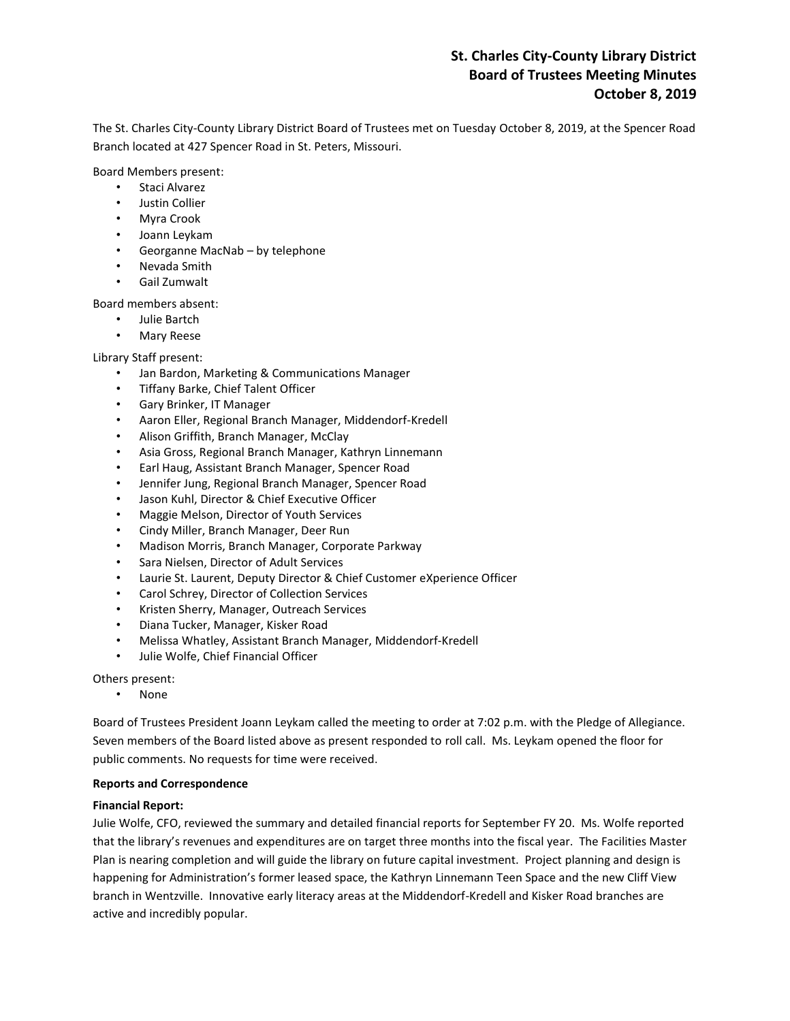# **St. Charles City-County Library District Board of Trustees Meeting Minutes October 8, 2019**

The St. Charles City-County Library District Board of Trustees met on Tuesday October 8, 2019, at the Spencer Road Branch located at 427 Spencer Road in St. Peters, Missouri.

Board Members present:

- Staci Alvarez
- Justin Collier
- Myra Crook
- Joann Leykam
- Georganne MacNab by telephone
- Nevada Smith
- Gail Zumwalt

Board members absent:

- Julie Bartch
- Mary Reese

Library Staff present:

- Jan Bardon, Marketing & Communications Manager
- Tiffany Barke, Chief Talent Officer
- Gary Brinker, IT Manager
- Aaron Eller, Regional Branch Manager, Middendorf-Kredell
- Alison Griffith, Branch Manager, McClay
- Asia Gross, Regional Branch Manager, Kathryn Linnemann
- Earl Haug, Assistant Branch Manager, Spencer Road
- Jennifer Jung, Regional Branch Manager, Spencer Road
- Jason Kuhl, Director & Chief Executive Officer
- Maggie Melson, Director of Youth Services
- Cindy Miller, Branch Manager, Deer Run
- Madison Morris, Branch Manager, Corporate Parkway
- Sara Nielsen, Director of Adult Services
- Laurie St. Laurent, Deputy Director & Chief Customer eXperience Officer
- Carol Schrey, Director of Collection Services
- Kristen Sherry, Manager, Outreach Services
- Diana Tucker, Manager, Kisker Road
- Melissa Whatley, Assistant Branch Manager, Middendorf-Kredell
- Julie Wolfe, Chief Financial Officer

Others present:

• None

Board of Trustees President Joann Leykam called the meeting to order at 7:02 p.m. with the Pledge of Allegiance. Seven members of the Board listed above as present responded to roll call. Ms. Leykam opened the floor for public comments. No requests for time were received.

### **Reports and Correspondence**

### **Financial Report:**

Julie Wolfe, CFO, reviewed the summary and detailed financial reports for September FY 20. Ms. Wolfe reported that the library's revenues and expenditures are on target three months into the fiscal year. The Facilities Master Plan is nearing completion and will guide the library on future capital investment. Project planning and design is happening for Administration's former leased space, the Kathryn Linnemann Teen Space and the new Cliff View branch in Wentzville. Innovative early literacy areas at the Middendorf-Kredell and Kisker Road branches are active and incredibly popular.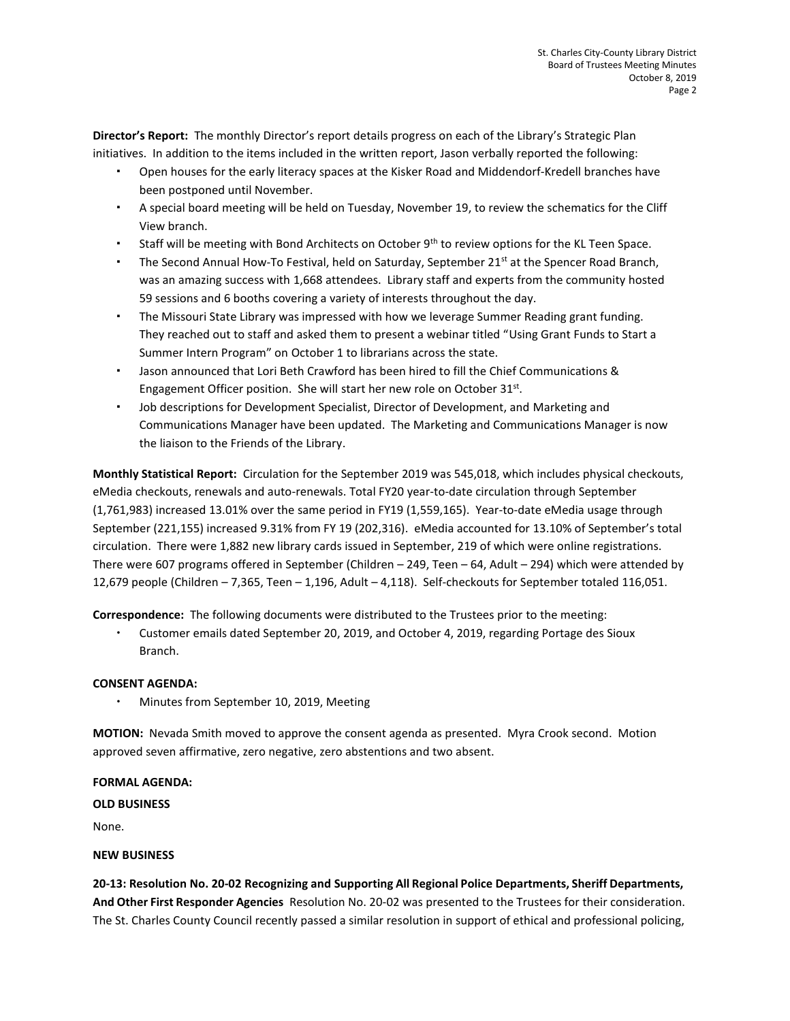**Director's Report:** The monthly Director's report details progress on each of the Library's Strategic Plan initiatives. In addition to the items included in the written report, Jason verbally reported the following:

- Open houses for the early literacy spaces at the Kisker Road and Middendorf-Kredell branches have been postponed until November.
- A special board meeting will be held on Tuesday, November 19, to review the schematics for the Cliff View branch.
- Staff will be meeting with Bond Architects on October 9<sup>th</sup> to review options for the KL Teen Space.
- The Second Annual How-To Festival, held on Saturday, September 21<sup>st</sup> at the Spencer Road Branch, was an amazing success with 1,668 attendees. Library staff and experts from the community hosted 59 sessions and 6 booths covering a variety of interests throughout the day.
- The Missouri State Library was impressed with how we leverage Summer Reading grant funding. They reached out to staff and asked them to present a webinar titled "Using Grant Funds to Start a Summer Intern Program" on October 1 to librarians across the state.
- Jason announced that Lori Beth Crawford has been hired to fill the Chief Communications & Engagement Officer position. She will start her new role on October 31st.
- Job descriptions for Development Specialist, Director of Development, and Marketing and Communications Manager have been updated. The Marketing and Communications Manager is now the liaison to the Friends of the Library.

**Monthly Statistical Report:** Circulation for the September 2019 was 545,018, which includes physical checkouts, eMedia checkouts, renewals and auto-renewals. Total FY20 year-to-date circulation through September (1,761,983) increased 13.01% over the same period in FY19 (1,559,165). Year-to-date eMedia usage through September (221,155) increased 9.31% from FY 19 (202,316). eMedia accounted for 13.10% of September's total circulation. There were 1,882 new library cards issued in September, 219 of which were online registrations. There were 607 programs offered in September (Children – 249, Teen – 64, Adult – 294) which were attended by 12,679 people (Children – 7,365, Teen – 1,196, Adult – 4,118). Self-checkouts for September totaled 116,051.

**Correspondence:** The following documents were distributed to the Trustees prior to the meeting:

 Customer emails dated September 20, 2019, and October 4, 2019, regarding Portage des Sioux Branch.

## **CONSENT AGENDA:**

Minutes from September 10, 2019, Meeting

**MOTION:** Nevada Smith moved to approve the consent agenda as presented. Myra Crook second. Motion approved seven affirmative, zero negative, zero abstentions and two absent.

### **FORMAL AGENDA:**

### **OLD BUSINESS**

None.

### **NEW BUSINESS**

**20-13: Resolution No. 20-02 Recognizing and Supporting All Regional Police Departments, Sheriff Departments, And Other First Responder Agencies** Resolution No. 20-02 was presented to the Trustees for their consideration. The St. Charles County Council recently passed a similar resolution in support of ethical and professional policing,